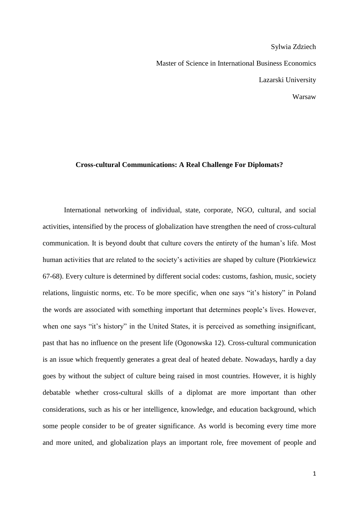Sylwia Zdziech Master of Science in International Business Economics Lazarski University Warsaw

## **Cross-cultural Communications: A Real Challenge For Diplomats?**

International networking of individual, state, corporate, NGO, cultural, and social activities, intensified by the process of globalization have strengthen the need of cross-cultural communication. It is beyond doubt that culture covers the entirety of the human"s life. Most human activities that are related to the society's activities are shaped by culture (Piotrkiewicz 67-68). Every culture is determined by different social codes: customs, fashion, music, society relations, linguistic norms, etc. To be more specific, when one says "it"s history" in Poland the words are associated with something important that determines people"s lives. However, when one says "it's history" in the United States, it is perceived as something insignificant, past that has no influence on the present life (Ogonowska 12). Cross-cultural communication is an issue which frequently generates a great deal of heated debate. Nowadays, hardly a day goes by without the subject of culture being raised in most countries. However, it is highly debatable whether cross-cultural skills of a diplomat are more important than other considerations, such as his or her intelligence, knowledge, and education background, which some people consider to be of greater significance. As world is becoming every time more and more united, and globalization plays an important role, free movement of people and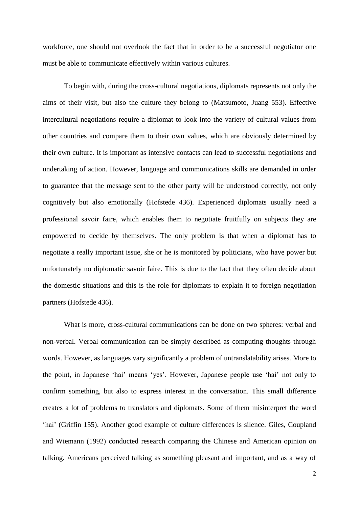workforce, one should not overlook the fact that in order to be a successful negotiator one must be able to communicate effectively within various cultures.

To begin with, during the cross-cultural negotiations, diplomats represents not only the aims of their visit, but also the culture they belong to (Matsumoto, Juang 553). Effective intercultural negotiations require a diplomat to look into the variety of cultural values from other countries and compare them to their own values, which are obviously determined by their own culture. It is important as intensive contacts can lead to successful negotiations and undertaking of action. However, language and communications skills are demanded in order to guarantee that the message sent to the other party will be understood correctly, not only cognitively but also emotionally (Hofstede 436). Experienced diplomats usually need a professional savoir faire, which enables them to negotiate fruitfully on subjects they are empowered to decide by themselves. The only problem is that when a diplomat has to negotiate a really important issue, she or he is monitored by politicians, who have power but unfortunately no diplomatic savoir faire. This is due to the fact that they often decide about the domestic situations and this is the role for diplomats to explain it to foreign negotiation partners (Hofstede 436).

What is more, cross-cultural communications can be done on two spheres: verbal and non-verbal. Verbal communication can be simply described as computing thoughts through words. However, as languages vary significantly a problem of untranslatability arises. More to the point, in Japanese "hai" means "yes". However, Japanese people use "hai" not only to confirm something, but also to express interest in the conversation. This small difference creates a lot of problems to translators and diplomats. Some of them misinterpret the word 'hai' (Griffin 155). Another good example of culture differences is silence. Giles, Coupland and Wiemann (1992) conducted research comparing the Chinese and American opinion on talking. Americans perceived talking as something pleasant and important, and as a way of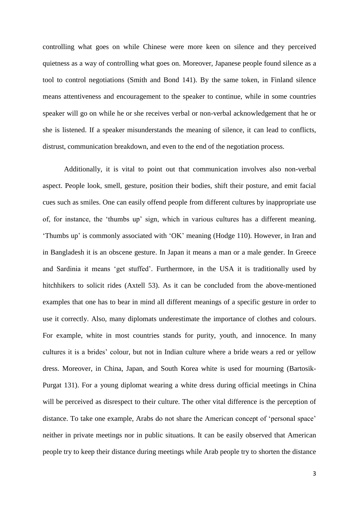controlling what goes on while Chinese were more keen on silence and they perceived quietness as a way of controlling what goes on. Moreover, Japanese people found silence as a tool to control negotiations (Smith and Bond 141). By the same token, in Finland silence means attentiveness and encouragement to the speaker to continue, while in some countries speaker will go on while he or she receives verbal or non-verbal acknowledgement that he or she is listened. If a speaker misunderstands the meaning of silence, it can lead to conflicts, distrust, communication breakdown, and even to the end of the negotiation process.

Additionally, it is vital to point out that communication involves also non-verbal aspect. People look, smell, gesture, position their bodies, shift their posture, and emit facial cues such as smiles. One can easily offend people from different cultures by inappropriate use of, for instance, the "thumbs up" sign, which in various cultures has a different meaning. "Thumbs up" is commonly associated with "OK" meaning (Hodge 110). However, in Iran and in Bangladesh it is an obscene gesture. In Japan it means a man or a male gender. In Greece and Sardinia it means "get stuffed". Furthermore, in the USA it is traditionally used by hitchhikers to solicit rides (Axtell 53). As it can be concluded from the above-mentioned examples that one has to bear in mind all different meanings of a specific gesture in order to use it correctly. Also, many diplomats underestimate the importance of clothes and colours. For example, white in most countries stands for purity, youth, and innocence. In many cultures it is a brides" colour, but not in Indian culture where a bride wears a red or yellow dress. Moreover, in China, Japan, and South Korea white is used for mourning (Bartosik-Purgat 131). For a young diplomat wearing a white dress during official meetings in China will be perceived as disrespect to their culture. The other vital difference is the perception of distance. To take one example, Arabs do not share the American concept of 'personal space' neither in private meetings nor in public situations. It can be easily observed that American people try to keep their distance during meetings while Arab people try to shorten the distance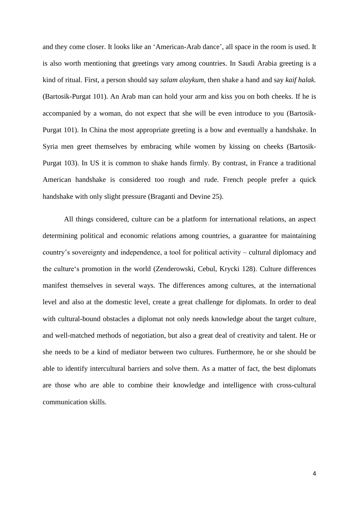and they come closer. It looks like an 'American-Arab dance', all space in the room is used. It is also worth mentioning that greetings vary among countries. In Saudi Arabia greeting is a kind of ritual. First, a person should say *salam alaykum*, then shake a hand and say *kaif halak.* (Bartosik-Purgat 101). An Arab man can hold your arm and kiss you on both cheeks. If he is accompanied by a woman, do not expect that she will be even introduce to you (Bartosik-Purgat 101). In China the most appropriate greeting is a bow and eventually a handshake. In Syria men greet themselves by embracing while women by kissing on cheeks (Bartosik-Purgat 103). In US it is common to shake hands firmly. By contrast, in France a traditional American handshake is considered too rough and rude. French people prefer a quick handshake with only slight pressure (Braganti and Devine 25).

All things considered, culture can be a platform for international relations, an aspect determining political and economic relations among countries, a guarantee for maintaining country"s sovereignty and independence, a tool for political activity – cultural diplomacy and the culture"s promotion in the world (Zenderowski, Cebul, Krycki 128). Culture differences manifest themselves in several ways. The differences among cultures, at the international level and also at the domestic level, create a great challenge for diplomats. In order to deal with cultural-bound obstacles a diplomat not only needs knowledge about the target culture, and well-matched methods of negotiation, but also a great deal of creativity and talent. He or she needs to be a kind of mediator between two cultures. Furthermore, he or she should be able to identify intercultural barriers and solve them. As a matter of fact, the best diplomats are those who are able to combine their knowledge and intelligence with cross-cultural communication skills.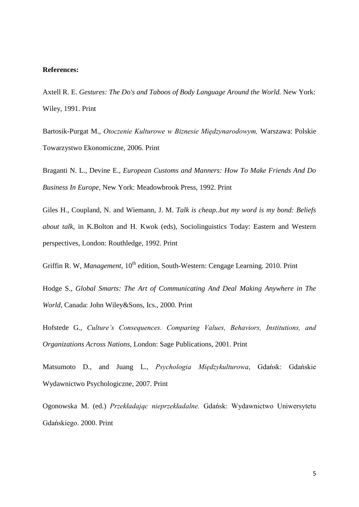## **References:**

Axtell R. E. *Gestures: The Do's and Taboos of Body Language Around the World.* New York: Wiley, 1991. Print

Bartosik-Purgat M., *Otoczenie Kulturowe w Biznesie Międzynarodowym,* Warszawa: Polskie Towarzystwo Ekonomiczne, 2006. Print

Braganti N. L., Devine E., *European Customs and Manners: How To Make Friends And Do Business In Europe,* New York: Meadowbrook Press, 1992. Print

Giles H., Coupland, N. and Wiemann, J. M. *Talk is cheap..but my word is my bond: Beliefs about talk*, in K.Bolton and H. Kwok (eds), Sociolinguistics Today: Eastern and Western perspectives, London: Routhledge, 1992. Print

Griffin R. W, *Management*, 10<sup>th</sup> edition, South-Western: Cengage Learning. 2010. Print

Hodge S., *Global Smarts: The Art of Communicating And Deal Making Anywhere in The World*, Canada: John Wiley&Sons, Ics., 2000. Print

Hofstede G., *Culture's Consequences. Comparing Values, Behaviors, Institutions, and Organizations Across Nations*, London: Sage Publications, 2001. Print

Matsumoto D., and Juang L., *Psychologia Międzykulturowa*, Gdańsk: Gdańskie Wydawnictwo Psychologiczne, 2007. Print

Ogonowska M. (ed.) *Przekładając nieprzekładalne.* Gdańsk: Wydawnictwo Uniwersytetu Gdańskiego. 2000. Print